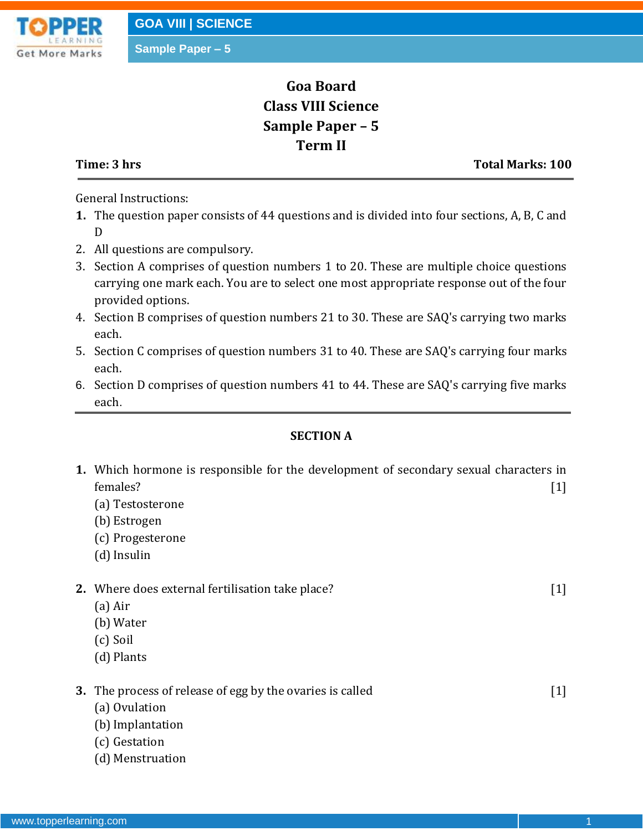

## **Goa Board Class VIII Science Sample Paper – 5 Term II**

**Time: 3 hrs** Total Marks: 100

General Instructions:

- **1.** The question paper consists of 44 questions and is divided into four sections, A, B, C and D
- 2. All questions are compulsory.
- 3. Section A comprises of question numbers 1 to 20. These are multiple choice questions carrying one mark each. You are to select one most appropriate response out of the four provided options.
- 4. Section B comprises of question numbers 21 to 30. These are SAQ's carrying two marks each.
- 5. Section C comprises of question numbers 31 to 40. These are SAQ's carrying four marks each.
- 6. Section D comprises of question numbers 41 to 44. These are SAQ's carrying five marks each.

### **SECTION A**

| 1. Which hormone is responsible for the development of secondary sexual characters in<br>females?<br>(a) Testosterone<br>(b) Estrogen<br>(c) Progesterone<br>(d) Insulin | $[1]$ |
|--------------------------------------------------------------------------------------------------------------------------------------------------------------------------|-------|
| 2. Where does external fertilisation take place?<br>$(a)$ Air<br>(b) Water<br>(c) Soil<br>(d) Plants                                                                     | $[1]$ |
| 3. The process of release of egg by the ovaries is called<br>(a) Ovulation<br>(b) Implantation<br>(c) Gestation<br>(d) Menstruation                                      | $[1]$ |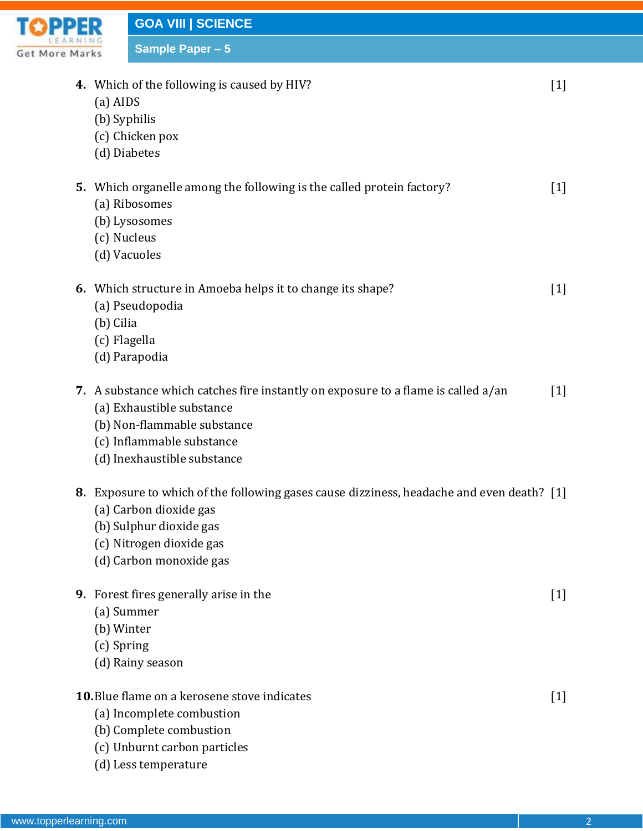

**GOA VIII | SCIENCE Sample Paper – 5**

**4.** Which of the following is caused by HIV? [1]

- (a) AIDS
- (b) Syphilis
- (c) Chicken pox
- (d) Diabetes

| 5. Which organelle among the following is the called protein factory? |  |
|-----------------------------------------------------------------------|--|
| (a) Ribosomes                                                         |  |

- (b) Lysosomes
- (c) Nucleus
- (d) Vacuoles

|  | <b>6.</b> Which structure in Amoeba helps it to change its shape? |  |
|--|-------------------------------------------------------------------|--|
|--|-------------------------------------------------------------------|--|

- (a) Pseudopodia
- (b) Cilia
- (c) Flagella
- (d) Parapodia
- **7.** A substance which catches fire instantly on exposure to a flame is called a/an [1]
	- (a) Exhaustible substance
	- (b) Non-flammable substance
	- (c) Inflammable substance
	- (d) Inexhaustible substance

### **8.** Exposure to which of the following gases cause dizziness, headache and even death? [1]

- (a) Carbon dioxide gas
- (b) Sulphur dioxide gas
- (c) Nitrogen dioxide gas
- (d) Carbon monoxide gas
- **9.** Forest fires generally arise in the [1]
	- (a) Summer
	- (b) Winter
	- (c) Spring
	- (d) Rainy season
- **10.**Blue flame on a kerosene stove indicates [1]
	- (a) Incomplete combustion
	- (b) Complete combustion
	- (c) Unburnt carbon particles
	- (d) Less temperature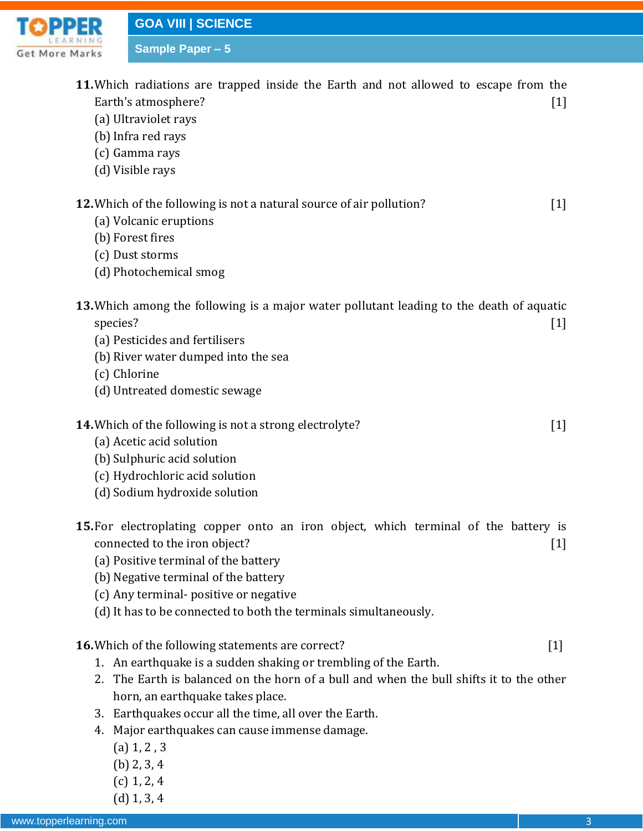**Get More Marks** 

**TOPPER** 

| <b>RNING</b><br>Marks    | <b>Sample Paper - 5</b>                                                                                                                                                                                                                                                                                           |                   |
|--------------------------|-------------------------------------------------------------------------------------------------------------------------------------------------------------------------------------------------------------------------------------------------------------------------------------------------------------------|-------------------|
|                          | 11. Which radiations are trapped inside the Earth and not allowed to escape from the<br>Earth's atmosphere?<br>(a) Ultraviolet rays<br>(b) Infra red rays<br>(c) Gamma rays<br>(d) Visible rays                                                                                                                   | $[1]$             |
|                          | <b>12.</b> Which of the following is not a natural source of air pollution?<br>(a) Volcanic eruptions<br>(b) Forest fires<br>(c) Dust storms<br>(d) Photochemical smog                                                                                                                                            | $[1]$             |
| species?<br>(c) Chlorine | 13. Which among the following is a major water pollutant leading to the death of aquatic<br>(a) Pesticides and fertilisers<br>(b) River water dumped into the sea<br>(d) Untreated domestic sewage                                                                                                                | $[1]$             |
|                          | <b>14.</b> Which of the following is not a strong electrolyte?<br>(a) Acetic acid solution<br>(b) Sulphuric acid solution<br>(c) Hydrochloric acid solution<br>(d) Sodium hydroxide solution                                                                                                                      | $\lceil 1 \rceil$ |
|                          | 15. For electroplating copper onto an iron object, which terminal of the battery is<br>connected to the iron object?<br>(a) Positive terminal of the battery<br>(b) Negative terminal of the battery<br>(c) Any terminal-positive or negative<br>(d) It has to be connected to both the terminals simultaneously. | $[1]$             |
|                          | <b>16.</b> Which of the following statements are correct?<br>1. An earthquake is a sudden shaking or trembling of the Earth.<br>2. The Earth is balanced on the horn of a bull and when the bull shifts it to the other<br>horn, an earthquake takes place.<br>releas a sance all that times all acceptible Danti | $[1]$             |

- 3. Earthquakes occur all the time, all over the Earth.
- 4. Major earthquakes can cause immense damage.
	- (a) 1, 2 , 3
	- (b) 2, 3, 4
	- (c) 1, 2, 4
	- (d) 1, 3, 4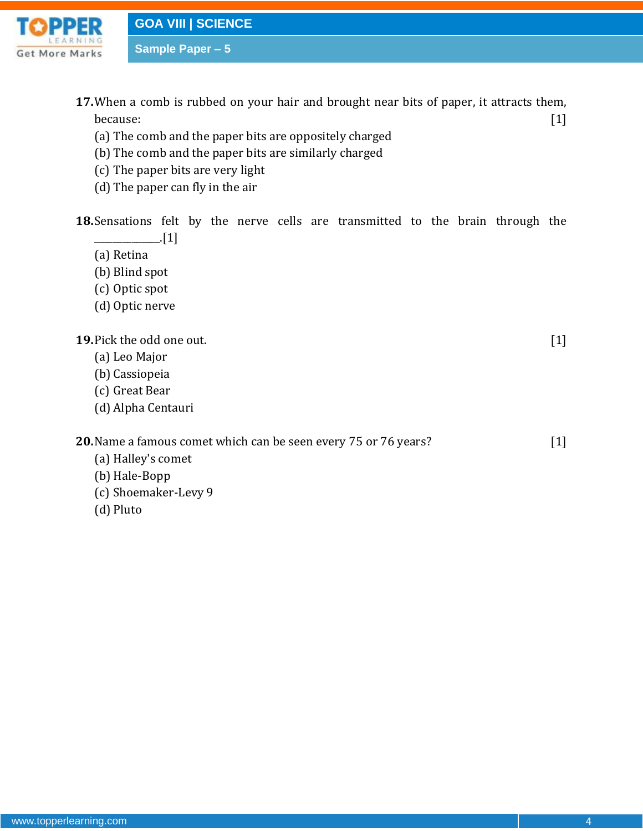

**GOA VIII | SCIENCE**

**Sample Paper – 5**

- **17.**When a comb is rubbed on your hair and brought near bits of paper, it attracts them, because:  $[1]$ 
	- (a) The comb and the paper bits are oppositely charged
	- (b) The comb and the paper bits are similarly charged
	- (c) The paper bits are very light
	- (d) The paper can fly in the air

**18.**Sensations felt by the nerve cells are transmitted to the brain through the  $\Box$ [1]

(a) Retina

- (b) Blind spot
- (c) Optic spot
- (d) Optic nerve

**19.**Pick the odd one out. [1]

- (a) Leo Major
- (b) Cassiopeia
- (c) Great Bear
- (d) Alpha Centauri

**20.**Name a famous comet which can be seen every 75 or 76 years? [1]

- (a) Halley's comet
- (b) Hale-Bopp
- (c) Shoemaker-Levy 9
- (d) Pluto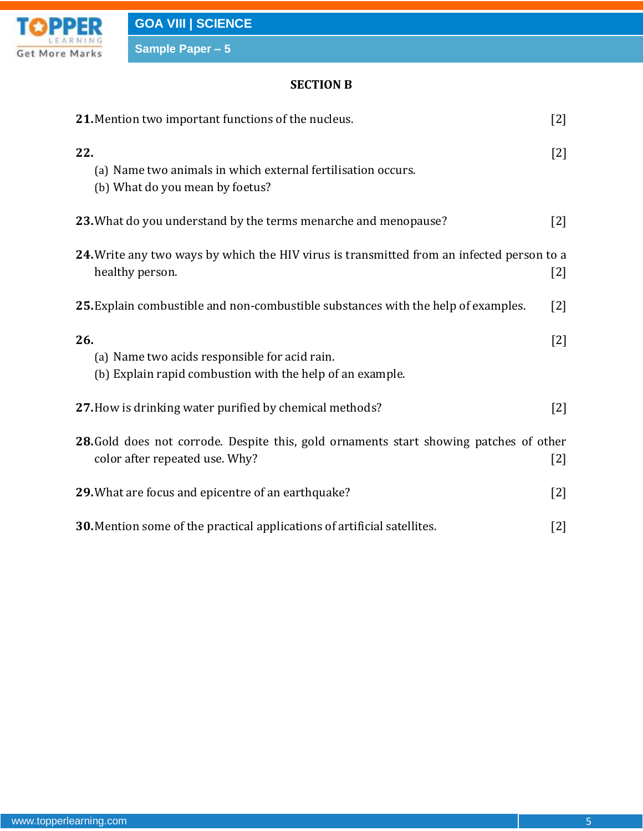

**Sample Paper – 5**

### **SECTION B**

| 21. Mention two important functions of the nucleus.                                                                      |       |
|--------------------------------------------------------------------------------------------------------------------------|-------|
| 22.<br>(a) Name two animals in which external fertilisation occurs.<br>(b) What do you mean by foetus?                   | $[2]$ |
| 23. What do you understand by the terms menarche and menopause?                                                          | $[2]$ |
| 24. Write any two ways by which the HIV virus is transmitted from an infected person to a<br>healthy person.             | $[2]$ |
| 25. Explain combustible and non-combustible substances with the help of examples.                                        |       |
| 26.<br>(a) Name two acids responsible for acid rain.<br>(b) Explain rapid combustion with the help of an example.        | $[2]$ |
| 27. How is drinking water purified by chemical methods?                                                                  | $[2]$ |
| 28. Gold does not corrode. Despite this, gold ornaments start showing patches of other<br>color after repeated use. Why? | $[2]$ |
| 29. What are focus and epicentre of an earthquake?                                                                       | $[2]$ |
| <b>30.</b> Mention some of the practical applications of artificial satellites.                                          | $[2]$ |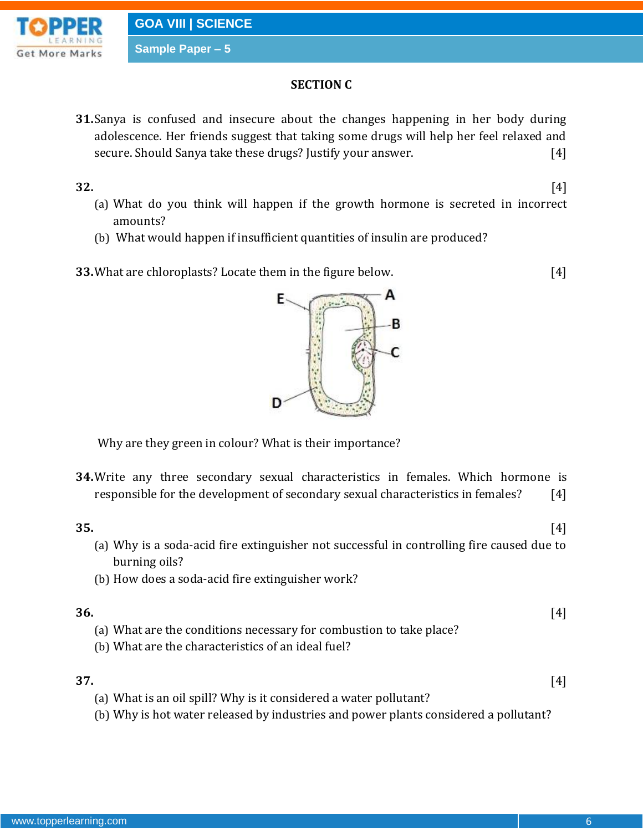**Sample Paper – 5**



- **SECTION C**
- **31.**Sanya is confused and insecure about the changes happening in her body during adolescence. Her friends suggest that taking some drugs will help her feel relaxed and secure. Should Sanya take these drugs? Justify your answer. [4]

**32.** [4]

- (a) What do you think will happen if the growth hormone is secreted in incorrect amounts?
- (b) What would happen if insufficient quantities of insulin are produced?
- **33.**What are chloroplasts? Locate them in the figure below. [4]



Why are they green in colour? What is their importance?

**34.**Write any three secondary sexual characteristics in females. Which hormone is responsible for the development of secondary sexual characteristics in females? [4]

### **35.** [4]

- (a) Why is a soda-acid fire extinguisher not successful in controlling fire caused due to burning oils?
- (b) How does a soda-acid fire extinguisher work?

### **36.** [4] (a) What are the conditions necessary for combustion to take place?

(b) What are the characteristics of an ideal fuel?

**37.** [4]

- (a) What is an oil spill? Why is it considered a water pollutant?
- (b) Why is hot water released by industries and power plants considered a pollutant?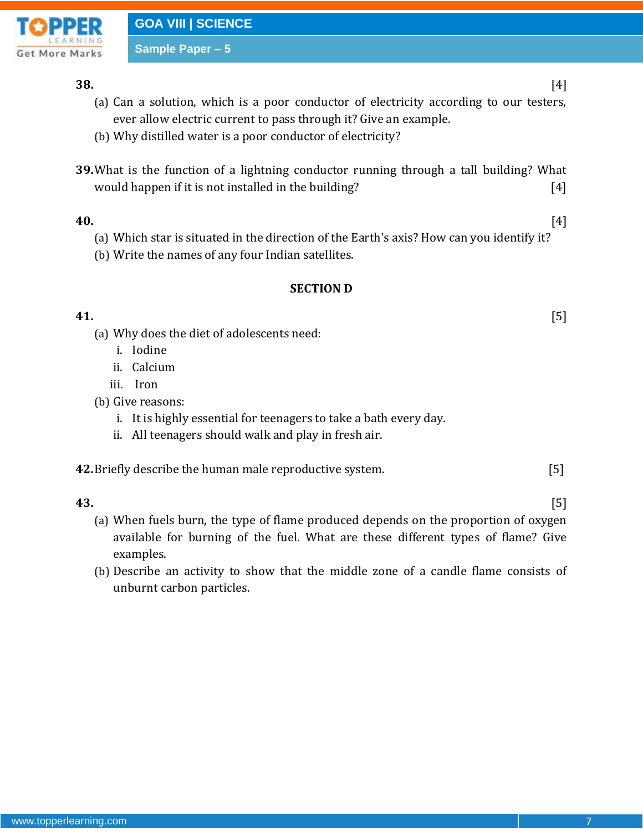

**GOA VIII | SCIENCE**

**Sample Paper – 5**

### **38.** [4]

- (a) Can a solution, which is a poor conductor of electricity according to our testers, ever allow electric current to pass through it? Give an example.
- (b) Why distilled water is a poor conductor of electricity?
- **39.**What is the function of a lightning conductor running through a tall building? What would happen if it is not installed in the building? [4]

- **40.** [4]
	- (a) Which star is situated in the direction of the Earth's axis? How can you identify it?
	- (b) Write the names of any four Indian satellites.

### **SECTION D**

## **41.** [5]

- (a) Why does the diet of adolescents need:
	- i. Iodine
	- ii. Calcium
	- iii. Iron
- (b) Give reasons:
	- i. It is highly essential for teenagers to take a bath every day.
	- ii. All teenagers should walk and play in fresh air.

**42.**Briefly describe the human male reproductive system. [5]

**43.** [5]

- (a) When fuels burn, the type of flame produced depends on the proportion of oxygen available for burning of the fuel. What are these different types of flame? Give examples.
- (b) Describe an activity to show that the middle zone of a candle flame consists of unburnt carbon particles.